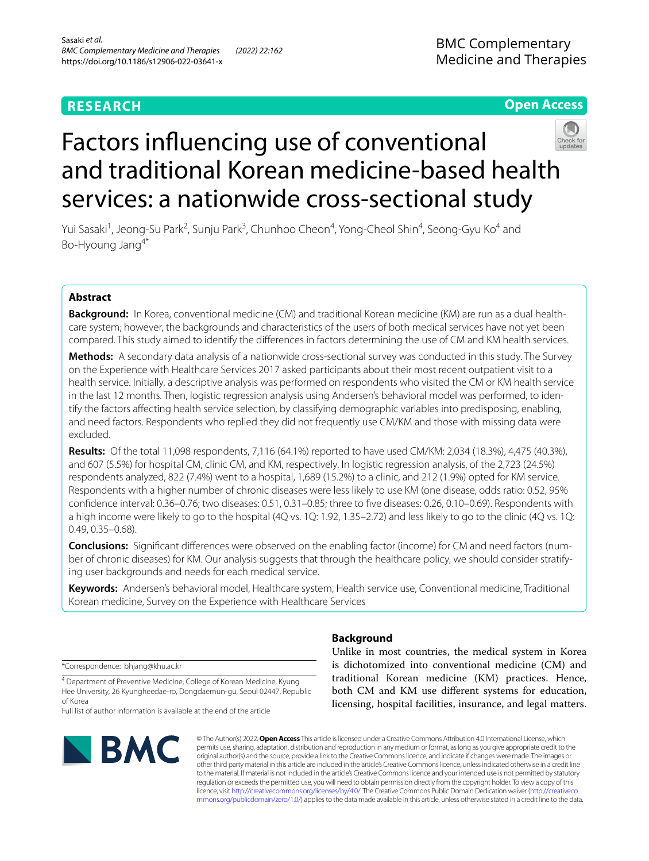## **RESEARCH**

**Open Access**

# Factors infuencing use of conventional and traditional Korean medicine-based health services: a nationwide cross-sectional study

Yui Sasaki<sup>1</sup>, Jeong-Su Park<sup>2</sup>, Sunju Park<sup>3</sup>, Chunhoo Cheon<sup>4</sup>, Yong-Cheol Shin<sup>4</sup>, Seong-Gyu Ko<sup>4</sup> and Bo‑Hyoung Jang4\*

## **Abstract**

Background: In Korea, conventional medicine (CM) and traditional Korean medicine (KM) are run as a dual healthcare system; however, the backgrounds and characteristics of the users of both medical services have not yet been compared. This study aimed to identify the diferences in factors determining the use of CM and KM health services.

**Methods:** A secondary data analysis of a nationwide cross-sectional survey was conducted in this study. The Survey on the Experience with Healthcare Services 2017 asked participants about their most recent outpatient visit to a health service. Initially, a descriptive analysis was performed on respondents who visited the CM or KM health service in the last 12 months. Then, logistic regression analysis using Andersen's behavioral model was performed, to identify the factors afecting health service selection, by classifying demographic variables into predisposing, enabling, and need factors. Respondents who replied they did not frequently use CM/KM and those with missing data were excluded.

**Results:** Of the total 11,098 respondents, 7,116 (64.1%) reported to have used CM/KM: 2,034 (18.3%), 4,475 (40.3%), and 607 (5.5%) for hospital CM, clinic CM, and KM, respectively. In logistic regression analysis, of the 2,723 (24.5%) respondents analyzed, 822 (7.4%) went to a hospital, 1,689 (15.2%) to a clinic, and 212 (1.9%) opted for KM service. Respondents with a higher number of chronic diseases were less likely to use KM (one disease, odds ratio: 0.52, 95% confdence interval: 0.36–0.76; two diseases: 0.51, 0.31–0.85; three to fve diseases: 0.26, 0.10–0.69). Respondents with a high income were likely to go to the hospital (4Q vs. 1Q: 1.92, 1.35–2.72) and less likely to go to the clinic (4Q vs. 1Q: 0.49, 0.35–0.68).

**Conclusions:** Signifcant diferences were observed on the enabling factor (income) for CM and need factors (num‑ ber of chronic diseases) for KM. Our analysis suggests that through the healthcare policy, we should consider stratifying user backgrounds and needs for each medical service.

**Keywords:** Andersen's behavioral model, Healthcare system, Health service use, Conventional medicine, Traditional Korean medicine, Survey on the Experience with Healthcare Services

\*Correspondence: bhjang@khu.ac.kr

<sup>4</sup> Department of Preventive Medicine, College of Korean Medicine, Kyung Hee University, 26 Kyungheedae‑ro, Dongdaemun‑gu, Seoul 02447, Republic of Korea

Full list of author information is available at the end of the article



## **Background**

Unlike in most countries, the medical system in Korea is dichotomized into conventional medicine (CM) and traditional Korean medicine (KM) practices. Hence, both CM and KM use diferent systems for education, licensing, hospital facilities, insurance, and legal matters.

© The Author(s) 2022. **Open Access** This article is licensed under a Creative Commons Attribution 4.0 International License, which permits use, sharing, adaptation, distribution and reproduction in any medium or format, as long as you give appropriate credit to the original author(s) and the source, provide a link to the Creative Commons licence, and indicate if changes were made. The images or other third party material in this article are included in the article's Creative Commons licence, unless indicated otherwise in a credit line to the material. If material is not included in the article's Creative Commons licence and your intended use is not permitted by statutory regulation or exceeds the permitted use, you will need to obtain permission directly from the copyright holder. To view a copy of this licence, visit [http://creativecommons.org/licenses/by/4.0/.](http://creativecommons.org/licenses/by/4.0/) The Creative Commons Public Domain Dedication waiver ([http://creativeco](http://creativecommons.org/publicdomain/zero/1.0/) [mmons.org/publicdomain/zero/1.0/](http://creativecommons.org/publicdomain/zero/1.0/)) applies to the data made available in this article, unless otherwise stated in a credit line to the data.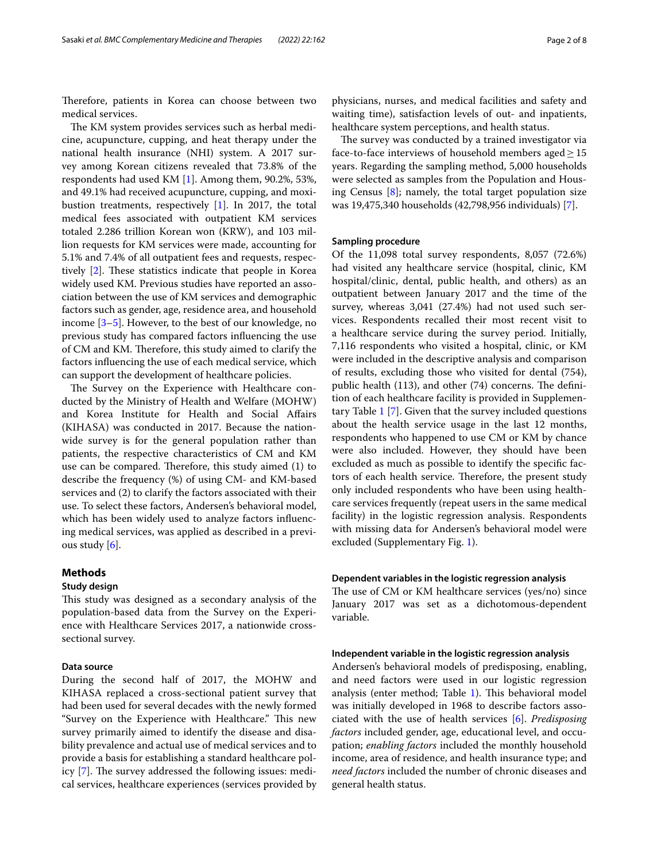Therefore, patients in Korea can choose between two medical services.

The KM system provides services such as herbal medicine, acupuncture, cupping, and heat therapy under the national health insurance (NHI) system. A 2017 survey among Korean citizens revealed that 73.8% of the respondents had used KM [[1\]](#page-6-0). Among them, 90.2%, 53%, and 49.1% had received acupuncture, cupping, and moxibustion treatments, respectively [[1](#page-6-0)]. In 2017, the total medical fees associated with outpatient KM services totaled 2.286 trillion Korean won (KRW), and 103 million requests for KM services were made, accounting for 5.1% and 7.4% of all outpatient fees and requests, respectively  $[2]$  $[2]$  $[2]$ . These statistics indicate that people in Korea widely used KM. Previous studies have reported an association between the use of KM services and demographic factors such as gender, age, residence area, and household income [[3–](#page-6-2)[5\]](#page-6-3). However, to the best of our knowledge, no previous study has compared factors infuencing the use of CM and KM. Therefore, this study aimed to clarify the factors infuencing the use of each medical service, which can support the development of healthcare policies.

The Survey on the Experience with Healthcare conducted by the Ministry of Health and Welfare (MOHW) and Korea Institute for Health and Social Afairs (KIHASA) was conducted in 2017. Because the nationwide survey is for the general population rather than patients, the respective characteristics of CM and KM use can be compared. Therefore, this study aimed  $(1)$  to describe the frequency (%) of using CM- and KM-based services and (2) to clarify the factors associated with their use. To select these factors, Andersen's behavioral model, which has been widely used to analyze factors infuencing medical services, was applied as described in a previous study [[6\]](#page-7-0).

## **Methods**

## **Study design**

This study was designed as a secondary analysis of the population-based data from the Survey on the Experience with Healthcare Services 2017, a nationwide crosssectional survey.

## **Data source**

During the second half of 2017, the MOHW and KIHASA replaced a cross-sectional patient survey that had been used for several decades with the newly formed "Survey on the Experience with Healthcare." This new survey primarily aimed to identify the disease and disability prevalence and actual use of medical services and to provide a basis for establishing a standard healthcare policy  $[7]$  $[7]$ . The survey addressed the following issues: medical services, healthcare experiences (services provided by physicians, nurses, and medical facilities and safety and waiting time), satisfaction levels of out- and inpatients, healthcare system perceptions, and health status.

The survey was conducted by a trained investigator via face-to-face interviews of household members aged $\geq$ 15 years. Regarding the sampling method, 5,000 households were selected as samples from the Population and Housing Census  $[8]$  $[8]$ ; namely, the total target population size was 19,475,340 households (42,798,956 individuals) [\[7\]](#page-7-1).

## **Sampling procedure**

Of the 11,098 total survey respondents, 8,057 (72.6%) had visited any healthcare service (hospital, clinic, KM hospital/clinic, dental, public health, and others) as an outpatient between January 2017 and the time of the survey, whereas 3,041 (27.4%) had not used such services. Respondents recalled their most recent visit to a healthcare service during the survey period. Initially, 7,116 respondents who visited a hospital, clinic, or KM were included in the descriptive analysis and comparison of results, excluding those who visited for dental (754), public health (113), and other (74) concerns. The definition of each healthcare facility is provided in Supplementary Table [1](#page-6-4) [[7\]](#page-7-1). Given that the survey included questions about the health service usage in the last 12 months, respondents who happened to use CM or KM by chance were also included. However, they should have been excluded as much as possible to identify the specifc factors of each health service. Therefore, the present study only included respondents who have been using healthcare services frequently (repeat users in the same medical facility) in the logistic regression analysis. Respondents with missing data for Andersen's behavioral model were excluded (Supplementary Fig. [1](#page-6-4)).

#### **Dependent variables in the logistic regression analysis**

The use of CM or KM healthcare services (yes/no) since January 2017 was set as a dichotomous-dependent variable.

## **Independent variable in the logistic regression analysis**

Andersen's behavioral models of predisposing, enabling, and need factors were used in our logistic regression analysis (enter method; Table [1](#page-2-0)). This behavioral model was initially developed in 1968 to describe factors associated with the use of health services [\[6](#page-7-0)]. *Predisposing factors* included gender, age, educational level, and occupation; *enabling factors* included the monthly household income, area of residence, and health insurance type; and *need factors* included the number of chronic diseases and general health status.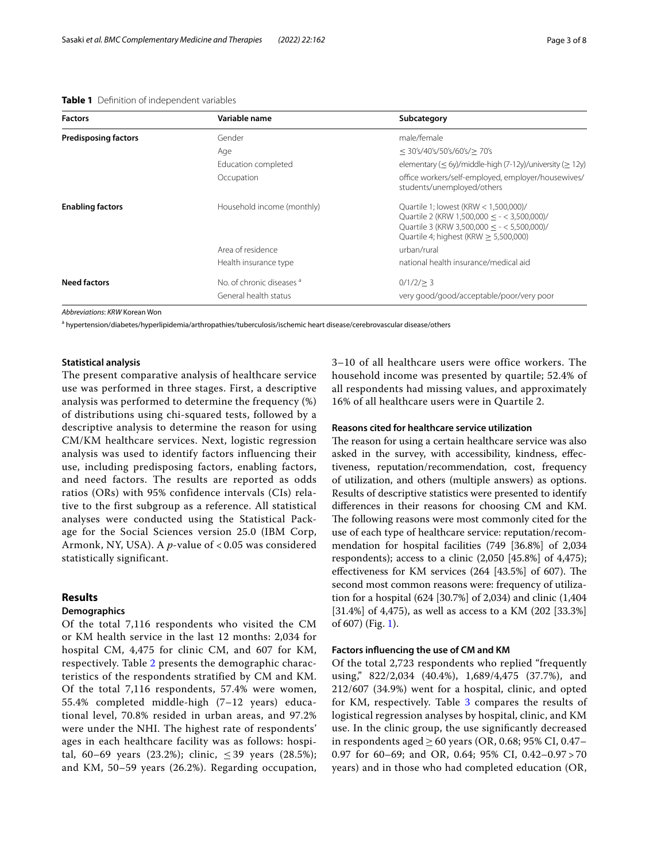#### <span id="page-2-0"></span>**Table 1** Defnition of independent variables

| <b>Factors</b>              | Variable name              | Subcategory                                                                                                                                                                              |  |
|-----------------------------|----------------------------|------------------------------------------------------------------------------------------------------------------------------------------------------------------------------------------|--|
| <b>Predisposing factors</b> | Gender                     | male/female                                                                                                                                                                              |  |
|                             | Age                        | $<$ 30's/40's/50's/60's/ $>$ 70's                                                                                                                                                        |  |
|                             | Education completed        | elementary ( $\leq$ 6y)/middle-high (7-12y)/university ( $\geq$ 12y)                                                                                                                     |  |
|                             | Occupation                 | office workers/self-employed, employer/housewives/<br>students/unemployed/others                                                                                                         |  |
| <b>Enabling factors</b>     | Household income (monthly) | Quartile 1; lowest (KRW $<$ 1,500,000)/<br>Quartile 2 (KRW 1,500,000 $\leq$ - < 3,500,000)/<br>Quartile 3 (KRW 3,500,000 < $-$ < 5,500,000)/<br>Quartile 4; highest (KRW $> 5,500,000$ ) |  |
|                             | Area of residence          | urban/rural                                                                                                                                                                              |  |
|                             | Health insurance type      | national health insurance/medical aid                                                                                                                                                    |  |
| <b>Need factors</b>         | No. of chronic diseases a  | 0/1/2 > 3                                                                                                                                                                                |  |
|                             | General health status      | very good/good/acceptable/poor/very poor                                                                                                                                                 |  |

*Abbreviations*: *KRW* Korean Won

a<br>
a hypertension/diabetes/hyperlipidemia/arthropathies/tuberculosis/ischemic heart disease/cerebrovascular disease/others

## **Statistical analysis**

The present comparative analysis of healthcare service use was performed in three stages. First, a descriptive analysis was performed to determine the frequency (%) of distributions using chi-squared tests, followed by a descriptive analysis to determine the reason for using CM/KM healthcare services. Next, logistic regression analysis was used to identify factors influencing their use, including predisposing factors, enabling factors, and need factors. The results are reported as odds ratios (ORs) with 95% confidence intervals (CIs) relative to the first subgroup as a reference. All statistical analyses were conducted using the Statistical Package for the Social Sciences version 25.0 (IBM Corp, Armonk, NY, USA). A *p*-value of < 0.05 was considered statistically significant.

## **Results**

## **Demographics**

Of the total 7,116 respondents who visited the CM or KM health service in the last 12 months: 2,034 for hospital CM, 4,475 for clinic CM, and 607 for KM, respectively. Table [2](#page-3-0) presents the demographic characteristics of the respondents stratified by CM and KM. Of the total 7,116 respondents, 57.4% were women, 55.4% completed middle-high (7–12 years) educational level, 70.8% resided in urban areas, and 97.2% were under the NHI. The highest rate of respondents' ages in each healthcare facility was as follows: hospital, 60–69 years (23.2%); clinic,  $\leq$  39 years (28.5%); and KM, 50–59 years (26.2%). Regarding occupation, 3–10 of all healthcare users were office workers. The household income was presented by quartile; 52.4% of all respondents had missing values, and approximately 16% of all healthcare users were in Quartile 2.

## **Reasons cited for healthcare service utilization**

The reason for using a certain healthcare service was also asked in the survey, with accessibility, kindness, efectiveness, reputation/recommendation, cost, frequency of utilization, and others (multiple answers) as options. Results of descriptive statistics were presented to identify diferences in their reasons for choosing CM and KM. The following reasons were most commonly cited for the use of each type of healthcare service: reputation/recommendation for hospital facilities (749 [36.8%] of 2,034 respondents); access to a clinic  $(2,050 \; [45.8\%]$  of 4,475); effectiveness for KM services  $(264 \; [43.5\%]$  of 607). The second most common reasons were: frequency of utilization for a hospital (624 [30.7%] of 2,034) and clinic (1,404 [31.4%] of 4,475), as well as access to a KM (202 [33.3%] of 607) (Fig. [1\)](#page-4-0).

## **Factors infuencing the use of CM and KM**

Of the total 2,723 respondents who replied "frequently using," 822/2,034 (40.4%), 1,689/4,475 (37.7%), and 212/607 (34.9%) went for a hospital, clinic, and opted for KM, respectively. Table [3](#page-5-0) compares the results of logistical regression analyses by hospital, clinic, and KM use. In the clinic group, the use signifcantly decreased in respondents aged ≥ 60 years (OR, 0.68; 95% CI, 0.47– 0.97 for 60–69; and OR, 0.64; 95% CI, 0.42–0.97 > 70 years) and in those who had completed education (OR,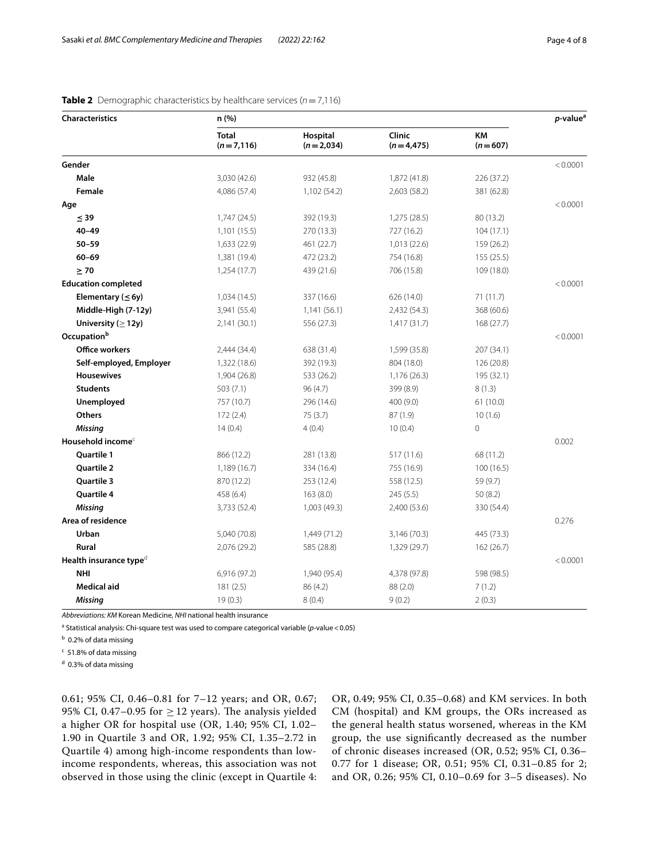| <b>Characteristics</b>             | n (%)                       |                         |                       |                        | p-value <sup>a</sup> |
|------------------------------------|-----------------------------|-------------------------|-----------------------|------------------------|----------------------|
|                                    | <b>Total</b><br>$(n=7,116)$ | Hospital<br>$(n=2,034)$ | Clinic<br>$(n=4,475)$ | <b>KM</b><br>$(n=607)$ |                      |
| Gender                             |                             |                         |                       |                        | < 0.0001             |
| Male                               | 3,030 (42.6)                | 932 (45.8)              | 1,872 (41.8)          | 226 (37.2)             |                      |
| Female                             | 4,086 (57.4)                | 1,102 (54.2)            | 2,603 (58.2)          | 381 (62.8)             |                      |
| Age                                |                             |                         |                       |                        | < 0.0001             |
| $\leq$ 39                          | 1,747 (24.5)                | 392 (19.3)              | 1,275 (28.5)          | 80 (13.2)              |                      |
| $40 - 49$                          | 1,101(15.5)                 | 270 (13.3)              | 727 (16.2)            | 104(17.1)              |                      |
| $50 - 59$                          | 1,633 (22.9)                | 461 (22.7)              | 1,013 (22.6)          | 159 (26.2)             |                      |
| $60 - 69$                          | 1,381 (19.4)                | 472 (23.2)              | 754 (16.8)            | 155 (25.5)             |                      |
| $\geq 70$                          | 1,254 (17.7)                | 439 (21.6)              | 706 (15.8)            | 109 (18.0)             |                      |
| <b>Education completed</b>         |                             |                         |                       |                        | < 0.0001             |
| Elementary ( $\leq$ 6y)            | 1,034 (14.5)                | 337 (16.6)              | 626 (14.0)            | 71 (11.7)              |                      |
| Middle-High (7-12y)                | 3,941 (55.4)                | 1,141(56.1)             | 2,432 (54.3)          | 368 (60.6)             |                      |
| University ( $\geq$ 12y)           | 2,141 (30.1)                | 556 (27.3)              | 1,417(31.7)           | 168 (27.7)             |                      |
| Occupation <sup>b</sup>            |                             |                         |                       |                        | < 0.0001             |
| <b>Office workers</b>              | 2,444 (34.4)                | 638 (31.4)              | 1,599 (35.8)          | 207 (34.1)             |                      |
| Self-employed, Employer            | 1,322 (18.6)                | 392 (19.3)              | 804 (18.0)            | 126 (20.8)             |                      |
| <b>Housewives</b>                  | 1,904 (26.8)                | 533 (26.2)              | 1,176 (26.3)          | 195 (32.1)             |                      |
| <b>Students</b>                    | 503 (7.1)                   | 96 (4.7)                | 399 (8.9)             | 8(1.3)                 |                      |
| Unemployed                         | 757 (10.7)                  | 296 (14.6)              | 400 (9.0)             | 61(10.0)               |                      |
| <b>Others</b>                      | 172(2.4)                    | 75 (3.7)                | 87(1.9)               | 10(1.6)                |                      |
| <b>Missing</b>                     | 14(0.4)                     | 4(0.4)                  | 10(0.4)               | $\overline{0}$         |                      |
| Household income $c$               |                             |                         |                       |                        | 0.002                |
| <b>Ouartile 1</b>                  | 866 (12.2)                  | 281 (13.8)              | 517 (11.6)            | 68 (11.2)              |                      |
| Quartile 2                         | 1,189 (16.7)                | 334 (16.4)              | 755 (16.9)            | 100(16.5)              |                      |
| Quartile 3                         | 870 (12.2)                  | 253 (12.4)              | 558 (12.5)            | 59 (9.7)               |                      |
| Quartile 4                         | 458 (6.4)                   | 163(8.0)                | 245 (5.5)             | 50(8.2)                |                      |
| <b>Missing</b>                     | 3,733 (52.4)                | 1,003 (49.3)            | 2,400 (53.6)          | 330 (54.4)             |                      |
| Area of residence                  |                             |                         |                       |                        | 0.276                |
| Urban                              | 5,040 (70.8)                | 1,449 (71.2)            | 3,146 (70.3)          | 445 (73.3)             |                      |
| Rural                              | 2,076 (29.2)                | 585 (28.8)              | 1,329 (29.7)          | 162 (26.7)             |                      |
| Health insurance type <sup>d</sup> |                             |                         |                       |                        | < 0.0001             |
| <b>NHI</b>                         | 6,916 (97.2)                | 1,940 (95.4)            | 4,378 (97.8)          | 598 (98.5)             |                      |
| <b>Medical aid</b>                 | 181(2.5)                    | 86 (4.2)                | 88(2.0)               | 7(1.2)                 |                      |
| Missing                            | 19(0.3)                     | 8(0.4)                  | 9(0.2)                | 2(0.3)                 |                      |

<span id="page-3-0"></span>**Table 2** Demographic characteristics by healthcare services ( $n = 7,116$ )

*Abbreviations: KM* Korean Medicine, *NHI* national health insurance

<sup>a</sup> Statistical analysis: Chi-square test was used to compare categorical variable (*p*-value < 0.05)

<sup>b</sup> 0.2% of data missing

<sup>c</sup> 51.8% of data missing

<sup>d</sup> 0.3% of data missing

0.61; 95% CI, 0.46–0.81 for 7–12 years; and OR, 0.67; 95% CI, 0.47–0.95 for  $\geq$  12 years). The analysis yielded a higher OR for hospital use (OR, 1.40; 95% CI, 1.02– 1.90 in Quartile 3 and OR, 1.92; 95% CI, 1.35–2.72 in Quartile 4) among high-income respondents than lowincome respondents, whereas, this association was not observed in those using the clinic (except in Quartile 4: OR, 0.49; 95% CI, 0.35–0.68) and KM services. In both CM (hospital) and KM groups, the ORs increased as the general health status worsened, whereas in the KM group, the use signifcantly decreased as the number of chronic diseases increased (OR, 0.52; 95% CI, 0.36– 0.77 for 1 disease; OR, 0.51; 95% CI, 0.31–0.85 for 2; and OR, 0.26; 95% CI, 0.10–0.69 for 3–5 diseases). No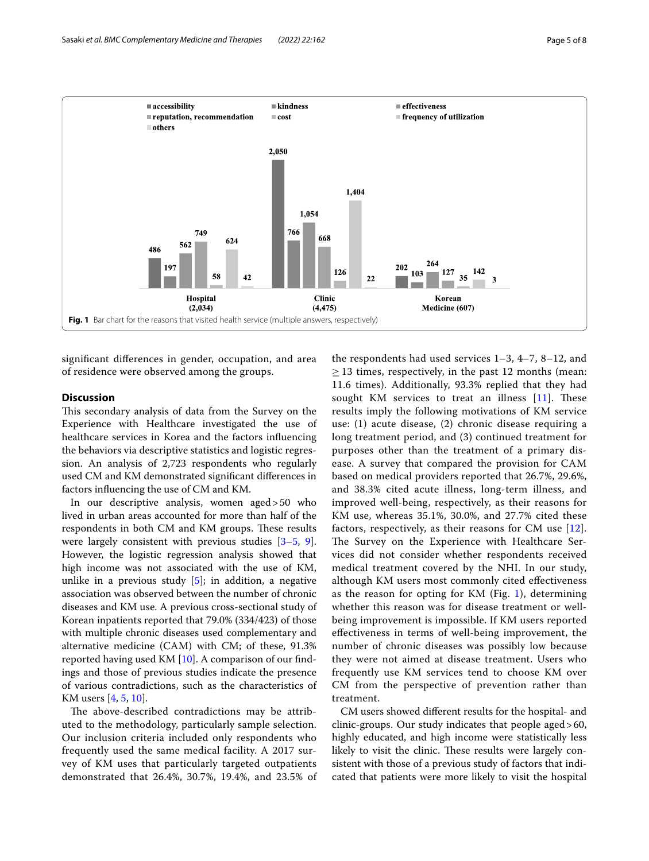

<span id="page-4-0"></span>signifcant diferences in gender, occupation, and area of residence were observed among the groups.

## **Discussion**

This secondary analysis of data from the Survey on the Experience with Healthcare investigated the use of healthcare services in Korea and the factors infuencing the behaviors via descriptive statistics and logistic regression. An analysis of 2,723 respondents who regularly used CM and KM demonstrated signifcant diferences in factors infuencing the use of CM and KM.

In our descriptive analysis, women aged>50 who lived in urban areas accounted for more than half of the respondents in both CM and KM groups. These results were largely consistent with previous studies [[3](#page-6-2)[–5](#page-6-3), [9](#page-7-3)]. However, the logistic regression analysis showed that high income was not associated with the use of KM, unlike in a previous study  $[5]$  $[5]$ ; in addition, a negative association was observed between the number of chronic diseases and KM use. A previous cross-sectional study of Korean inpatients reported that 79.0% (334/423) of those with multiple chronic diseases used complementary and alternative medicine (CAM) with CM; of these, 91.3% reported having used KM [[10](#page-7-4)]. A comparison of our fndings and those of previous studies indicate the presence of various contradictions, such as the characteristics of KM users [\[4](#page-6-5), [5,](#page-6-3) [10](#page-7-4)].

The above-described contradictions may be attributed to the methodology, particularly sample selection. Our inclusion criteria included only respondents who frequently used the same medical facility. A 2017 survey of KM uses that particularly targeted outpatients demonstrated that 26.4%, 30.7%, 19.4%, and 23.5% of

the respondents had used services 1–3, 4–7, 8–12, and  $\geq$  13 times, respectively, in the past 12 months (mean: 11.6 times). Additionally, 93.3% replied that they had sought KM services to treat an illness  $[11]$  $[11]$ . These results imply the following motivations of KM service use: (1) acute disease, (2) chronic disease requiring a long treatment period, and (3) continued treatment for purposes other than the treatment of a primary disease. A survey that compared the provision for CAM based on medical providers reported that 26.7%, 29.6%, and 38.3% cited acute illness, long-term illness, and improved well-being, respectively, as their reasons for KM use, whereas 35.1%, 30.0%, and 27.7% cited these factors, respectively, as their reasons for CM use [[12](#page-7-6)]. The Survey on the Experience with Healthcare Services did not consider whether respondents received medical treatment covered by the NHI. In our study, although KM users most commonly cited efectiveness as the reason for opting for KM (Fig. [1](#page-4-0)), determining whether this reason was for disease treatment or wellbeing improvement is impossible. If KM users reported efectiveness in terms of well-being improvement, the number of chronic diseases was possibly low because they were not aimed at disease treatment. Users who frequently use KM services tend to choose KM over CM from the perspective of prevention rather than treatment.

CM users showed diferent results for the hospital- and clinic-groups. Our study indicates that people aged>60, highly educated, and high income were statistically less likely to visit the clinic. These results were largely consistent with those of a previous study of factors that indicated that patients were more likely to visit the hospital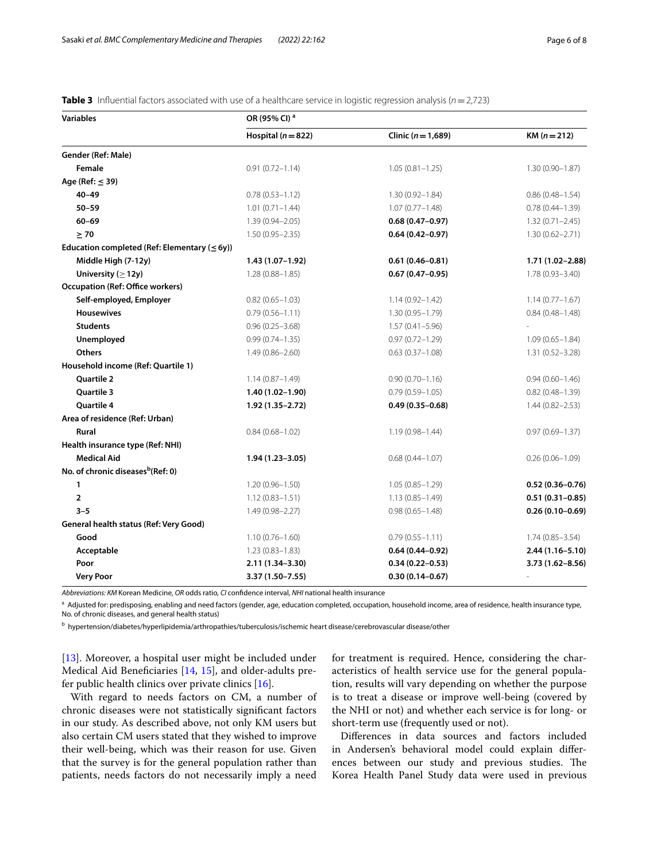| <b>Variables</b>                                   | OR (95% CI) <sup>a</sup> |                        |                     |  |
|----------------------------------------------------|--------------------------|------------------------|---------------------|--|
|                                                    | Hospital ( $n = 822$ )   | Clinic ( $n = 1,689$ ) | $KM (n = 212)$      |  |
| Gender (Ref: Male)                                 |                          |                        |                     |  |
| Female                                             | $0.91(0.72 - 1.14)$      | $1.05(0.81 - 1.25)$    | $1.30(0.90 - 1.87)$ |  |
| Age (Ref: $\leq$ 39)                               |                          |                        |                     |  |
| $40 - 49$                                          | $0.78(0.53 - 1.12)$      | $1.30(0.92 - 1.84)$    | $0.86(0.48 - 1.54)$ |  |
| $50 - 59$                                          | $1.01 (0.71 - 1.44)$     | $1.07(0.77 - 1.48)$    | $0.78(0.44 - 1.39)$ |  |
| $60 - 69$                                          | $1.39(0.94 - 2.05)$      | $0.68(0.47 - 0.97)$    | $1.32(0.71 - 2.45)$ |  |
| $\geq 70$                                          | $1.50(0.95 - 2.35)$      | $0.64(0.42 - 0.97)$    | $1.30(0.62 - 2.71)$ |  |
| Education completed (Ref: Elementary ( $\leq$ 6y)) |                          |                        |                     |  |
| Middle High (7-12y)                                | 1.43 (1.07–1.92)         | $0.61(0.46 - 0.81)$    | 1.71 (1.02-2.88)    |  |
| University ( $\geq$ 12y)                           | $1.28(0.88 - 1.85)$      | $0.67(0.47-0.95)$      | $1.78(0.93 - 3.40)$ |  |
| <b>Occupation (Ref: Office workers)</b>            |                          |                        |                     |  |
| Self-employed, Employer                            | $0.82(0.65 - 1.03)$      | $1.14(0.92 - 1.42)$    | $1.14(0.77 - 1.67)$ |  |
| <b>Housewives</b>                                  | $0.79(0.56 - 1.11)$      | $1.30(0.95 - 1.79)$    | $0.84(0.48 - 1.48)$ |  |
| <b>Students</b>                                    | $0.96(0.25 - 3.68)$      | $1.57(0.41 - 5.96)$    |                     |  |
| Unemployed                                         | $0.99(0.74 - 1.35)$      | $0.97(0.72 - 1.29)$    | $1.09(0.65 - 1.84)$ |  |
| <b>Others</b>                                      | $1.49(0.86 - 2.60)$      | $0.63(0.37 - 1.08)$    | $1.31(0.52 - 3.28)$ |  |
| Household income (Ref: Quartile 1)                 |                          |                        |                     |  |
| Quartile 2                                         | $1.14(0.87 - 1.49)$      | $0.90(0.70 - 1.16)$    | $0.94(0.60 - 1.46)$ |  |
| Quartile 3                                         | $1.40(1.02 - 1.90)$      | $0.79(0.59 - 1.05)$    | $0.82(0.48 - 1.39)$ |  |
| Quartile 4                                         | $1.92(1.35 - 2.72)$      | $0.49(0.35 - 0.68)$    | $1.44(0.82 - 2.53)$ |  |
| Area of residence (Ref: Urban)                     |                          |                        |                     |  |
| <b>Rural</b>                                       | $0.84(0.68 - 1.02)$      | $1.19(0.98 - 1.44)$    | $0.97(0.69 - 1.37)$ |  |
| Health insurance type (Ref: NHI)                   |                          |                        |                     |  |
| <b>Medical Aid</b>                                 | $1.94(1.23 - 3.05)$      | $0.68(0.44 - 1.07)$    | $0.26(0.06 - 1.09)$ |  |
| No. of chronic diseases <sup>b</sup> (Ref: 0)      |                          |                        |                     |  |
| 1                                                  | $1.20(0.96 - 1.50)$      | $1.05(0.85 - 1.29)$    | $0.52(0.36 - 0.76)$ |  |
| $\overline{2}$                                     | $1.12(0.83 - 1.51)$      | $1.13(0.85 - 1.49)$    | $0.51(0.31 - 0.85)$ |  |
| $3 - 5$                                            | $1.49(0.98 - 2.27)$      | $0.98(0.65 - 1.48)$    | $0.26(0.10 - 0.69)$ |  |
| General health status (Ref: Very Good)             |                          |                        |                     |  |
| Good                                               | $1.10(0.76 - 1.60)$      | $0.79(0.55 - 1.11)$    | $1.74(0.85 - 3.54)$ |  |
| Acceptable                                         | $1.23(0.83 - 1.83)$      | $0.64(0.44 - 0.92)$    | $2.44(1.16 - 5.10)$ |  |
| Poor                                               | 2.11 (1.34-3.30)         | $0.34(0.22 - 0.53)$    | $3.73(1.62 - 8.56)$ |  |
| <b>Very Poor</b>                                   | 3.37 (1.50-7.55)         | $0.30(0.14 - 0.67)$    |                     |  |

<span id="page-5-0"></span>**Table 3** Influential factors associated with use of a healthcare service in logistic regression analysis ( $n = 2,723$ )

*Abbreviations: KM* Korean Medicine, *OR* odds ratio, *CI* confdence interval, *NHI* national health insurance

a Adjusted for: predisposing, enabling and need factors (gender, age, education completed, occupation, household income, area of residence, health insurance type, No. of chronic diseases, and general health status)

b hypertension/diabetes/hyperlipidemia/arthropathies/tuberculosis/ischemic heart disease/cerebrovascular disease/other

[[13\]](#page-7-7). Moreover, a hospital user might be included under Medical Aid Benefciaries [\[14](#page-7-8), [15](#page-7-9)], and older-adults prefer public health clinics over private clinics [\[16](#page-7-10)].

With regard to needs factors on CM, a number of chronic diseases were not statistically signifcant factors in our study. As described above, not only KM users but also certain CM users stated that they wished to improve their well-being, which was their reason for use. Given that the survey is for the general population rather than patients, needs factors do not necessarily imply a need for treatment is required. Hence, considering the characteristics of health service use for the general population, results will vary depending on whether the purpose is to treat a disease or improve well-being (covered by the NHI or not) and whether each service is for long- or short-term use (frequently used or not).

Diferences in data sources and factors included in Andersen's behavioral model could explain diferences between our study and previous studies. The Korea Health Panel Study data were used in previous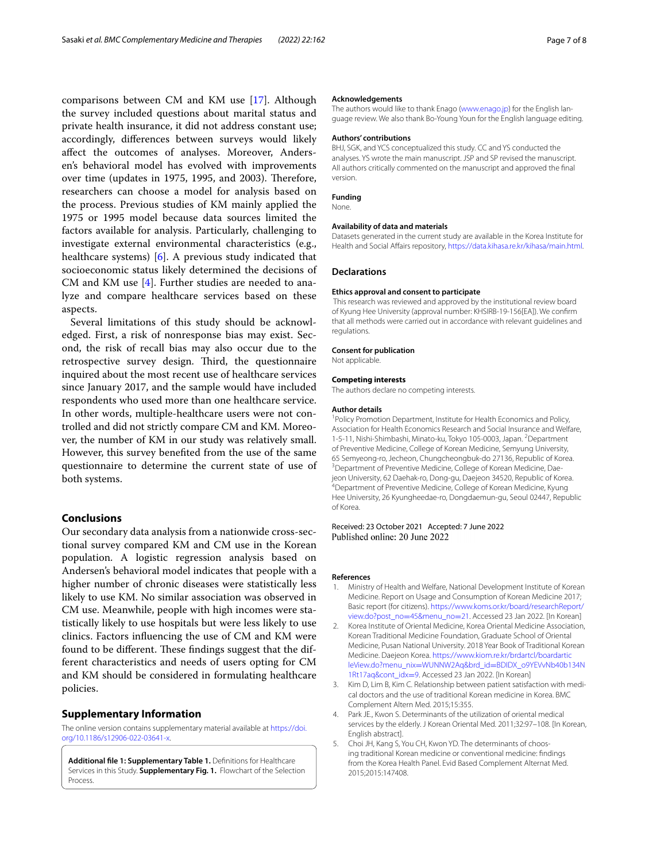comparisons between CM and KM use [\[17](#page-7-11)]. Although the survey included questions about marital status and private health insurance, it did not address constant use; accordingly, diferences between surveys would likely afect the outcomes of analyses. Moreover, Andersen's behavioral model has evolved with improvements over time (updates in 1975, 1995, and 2003). Therefore, researchers can choose a model for analysis based on the process. Previous studies of KM mainly applied the 1975 or 1995 model because data sources limited the factors available for analysis. Particularly, challenging to investigate external environmental characteristics (e.g., healthcare systems) [[6](#page-7-0)]. A previous study indicated that socioeconomic status likely determined the decisions of CM and KM use [\[4](#page-6-5)]. Further studies are needed to analyze and compare healthcare services based on these aspects.

Several limitations of this study should be acknowledged. First, a risk of nonresponse bias may exist. Second, the risk of recall bias may also occur due to the retrospective survey design. Third, the questionnaire inquired about the most recent use of healthcare services since January 2017, and the sample would have included respondents who used more than one healthcare service. In other words, multiple-healthcare users were not controlled and did not strictly compare CM and KM. Moreover, the number of KM in our study was relatively small. However, this survey benefted from the use of the same questionnaire to determine the current state of use of both systems.

## **Conclusions**

Our secondary data analysis from a nationwide cross-sectional survey compared KM and CM use in the Korean population. A logistic regression analysis based on Andersen's behavioral model indicates that people with a higher number of chronic diseases were statistically less likely to use KM. No similar association was observed in CM use. Meanwhile, people with high incomes were statistically likely to use hospitals but were less likely to use clinics. Factors infuencing the use of CM and KM were found to be different. These findings suggest that the different characteristics and needs of users opting for CM and KM should be considered in formulating healthcare policies.

## **Supplementary Information**

The online version contains supplementary material available at [https://doi.](https://doi.org/10.1186/s12906-022-03641-x) [org/10.1186/s12906-022-03641-x.](https://doi.org/10.1186/s12906-022-03641-x)

<span id="page-6-4"></span>**Additional fle 1: Supplementary Table 1.** Defnitions for Healthcare Services in this Study. **Supplementary Fig. 1.** Flowchart of the Selection Process.

#### **Acknowledgements**

The authors would like to thank Enago [\(www.enago.jp\)](http://www.enago.jp) for the English language review. We also thank Bo-Young Youn for the English language editing.

#### **Authors' contributions**

BHJ, SGK, and YCS conceptualized this study. CC and YS conducted the analyses. YS wrote the main manuscript. JSP and SP revised the manuscript. All authors critically commented on the manuscript and approved the fnal version.

#### **Funding**

None.

#### **Availability of data and materials**

Datasets generated in the current study are available in the Korea Institute for Health and Social Afairs repository, [https://data.kihasa.re.kr/kihasa/main.html.](https://data.kihasa.re.kr/kihasa/main.html)

#### **Declarations**

## **Ethics approval and consent to participate**

 This research was reviewed and approved by the institutional review board of Kyung Hee University (approval number: KHSIRB-19-156[EA]). We confrm that all methods were carried out in accordance with relevant guidelines and regulations.

#### **Consent for publication**

Not applicable.

#### **Competing interests**

The authors declare no competing interests.

## **Author details**

<sup>1</sup> Policy Promotion Department, Institute for Health Economics and Policy, Association for Health Economics Research and Social Insurance and Welfare, 1-5-11, Nishi-Shimbashi, Minato-ku, Tokyo 105-0003, Japan. <sup>2</sup>Department of Preventive Medicine, College of Korean Medicine, Semyung University, 65 Semyeong-ro, Jecheon, Chungcheongbuk-do 27136, Republic of Korea. <sup>3</sup> Department of Preventive Medicine, College of Korean Medicine, Daejeon University, 62 Daehak-ro, Dong-gu, Daejeon 34520, Republic of Korea. <sup>4</sup>Department of Preventive Medicine, College of Korean Medicine, Kyung Hee University, 26 Kyungheedae‑ro, Dongdaemun‑gu, Seoul 02447, Republic of Korea.

Received: 23 October 2021 Accepted: 7 June 2022 Published online: 20 June 2022

## **References**

- <span id="page-6-0"></span>1. Ministry of Health and Welfare, National Development Institute of Korean Medicine. Report on Usage and Consumption of Korean Medicine 2017; Basic report (for citizens). [https://www.koms.or.kr/board/researchReport/](https://www.koms.or.kr/board/researchReport/view.do?post_no=45&menu_no=21) view.do?post\_no=45&menu\_no=21. Accessed 23 Jan 2022. [In Korean]
- <span id="page-6-1"></span>2. [Korea Institute of Oriental Medicine, K](https://www.koms.or.kr/board/researchReport/view.do?post_no=45&menu_no=21)orea Oriental Medicine Association, Korean Traditional Medicine Foundation, Graduate School of Oriental Medicine, Pusan National University. 2018 Year Book of Traditional Korean Medicine. Daejeon Korea. [https://www.kiom.re.kr/brdartcl/boardartic](https://www.kiom.re.kr/brdartcl/boardarticleView.do?menu_nix=WUNNW2Aq&brd_id=BDIDX_o9YEVvNb40b134N1Rt17aq&cont_idx=9) leView.do?menu\_nix=WUNNW2Aq&brd\_id=[BDIDX\\_o9YEVvNb40b134N](https://www.kiom.re.kr/brdartcl/boardarticleView.do?menu_nix=WUNNW2Aq&brd_id=BDIDX_o9YEVvNb40b134N1Rt17aq&cont_idx=9) [1Rt17aq&cont\\_idx](https://www.kiom.re.kr/brdartcl/boardarticleView.do?menu_nix=WUNNW2Aq&brd_id=BDIDX_o9YEVvNb40b134N1Rt17aq&cont_idx=9)=9. Accessed 23 Jan 2022. [In Korean]
- <span id="page-6-2"></span>3. Kim D, Lim B, Kim C. Relationship between patient satisfaction with medical doctors and the use of traditional Korean medicine in Korea. BMC Complement Altern Med. 2015;15:355.
- <span id="page-6-5"></span>4. Park JE., Kwon S. Determinants of the utilization of oriental medical services by the elderly. J Korean Oriental Med. 2011;32:97–108. [In Korean, English abstract].
- <span id="page-6-3"></span>5. Choi JH, Kang S, You CH, Kwon YD. The determinants of choosing traditional Korean medicine or conventional medicine: fndings from the Korea Health Panel. Evid Based Complement Alternat Med. 2015;2015:147408.